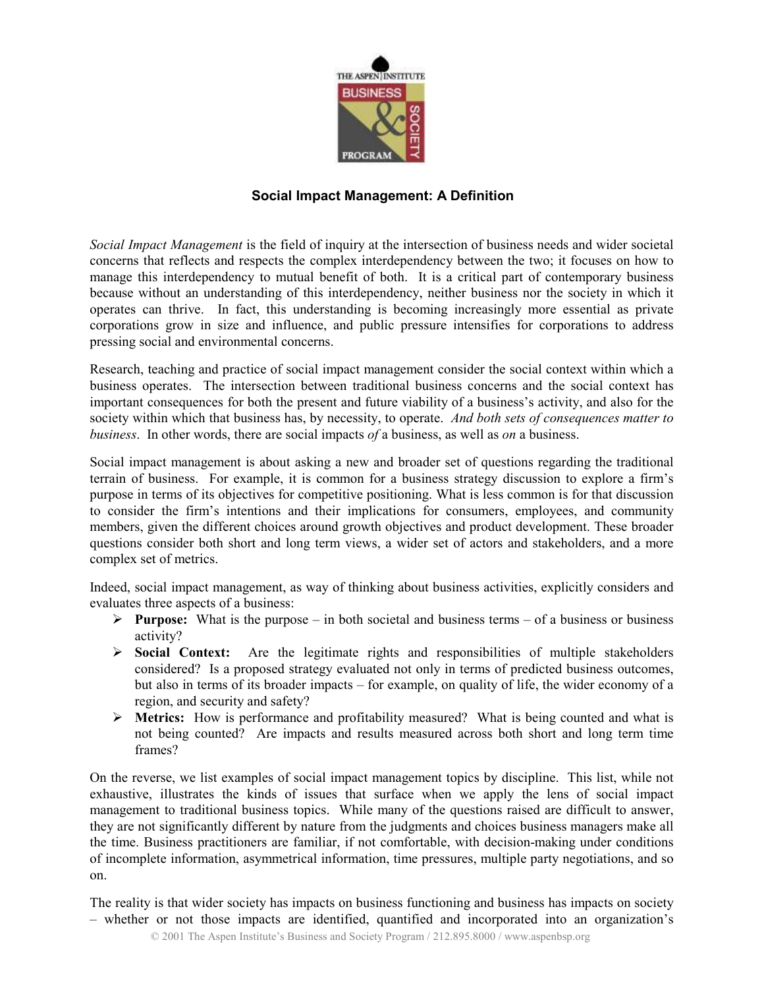

## Social Impact Management: A Definition

Social Impact Management is the field of inquiry at the intersection of business needs and wider societal concerns that reflects and respects the complex interdependency between the two; it focuses on how to manage this interdependency to mutual benefit of both. It is a critical part of contemporary business because without an understanding of this interdependency, neither business nor the society in which it operates can thrive. In fact, this understanding is becoming increasingly more essential as private corporations grow in size and influence, and public pressure intensifies for corporations to address pressing social and environmental concerns.

Research, teaching and practice of social impact management consider the social context within which a business operates. The intersection between traditional business concerns and the social context has important consequences for both the present and future viability of a business's activity, and also for the society within which that business has, by necessity, to operate. And both sets of consequences matter to business. In other words, there are social impacts of a business, as well as on a business.

Social impact management is about asking a new and broader set of questions regarding the traditional terrain of business. For example, it is common for a business strategy discussion to explore a firm's purpose in terms of its objectives for competitive positioning. What is less common is for that discussion to consider the firm's intentions and their implications for consumers, employees, and community members, given the different choices around growth objectives and product development. These broader questions consider both short and long term views, a wider set of actors and stakeholders, and a more complex set of metrics.

Indeed, social impact management, as way of thinking about business activities, explicitly considers and evaluates three aspects of a business:

- **Purpose:** What is the purpose in both societal and business terms of a business or business activity?
- $\triangleright$  Social Context: Are the legitimate rights and responsibilities of multiple stakeholders considered? Is a proposed strategy evaluated not only in terms of predicted business outcomes, but also in terms of its broader impacts – for example, on quality of life, the wider economy of a region, and security and safety?
- Metrics: How is performance and profitability measured? What is being counted and what is not being counted? Are impacts and results measured across both short and long term time frames?

On the reverse, we list examples of social impact management topics by discipline. This list, while not exhaustive, illustrates the kinds of issues that surface when we apply the lens of social impact management to traditional business topics. While many of the questions raised are difficult to answer, they are not significantly different by nature from the judgments and choices business managers make all the time. Business practitioners are familiar, if not comfortable, with decision-making under conditions of incomplete information, asymmetrical information, time pressures, multiple party negotiations, and so on.

The reality is that wider society has impacts on business functioning and business has impacts on society – whether or not those impacts are identified, quantified and incorporated into an organization's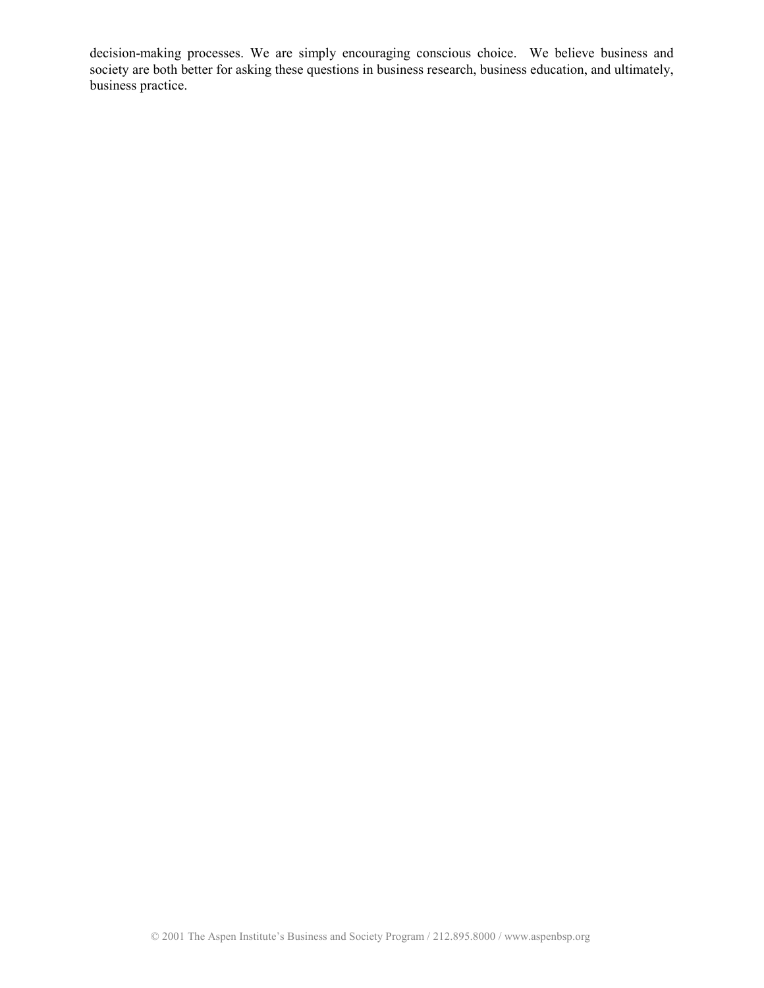decision-making processes. We are simply encouraging conscious choice. We believe business and society are both better for asking these questions in business research, business education, and ultimately, business practice.